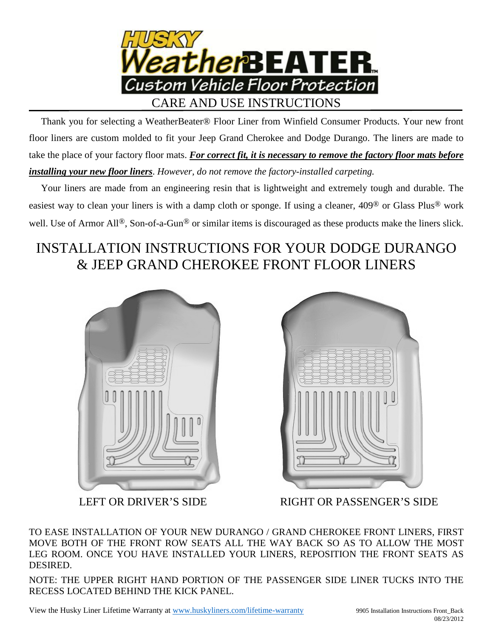

 Thank you for selecting a WeatherBeater® Floor Liner from Winfield Consumer Products. Your new front floor liners are custom molded to fit your Jeep Grand Cherokee and Dodge Durango. The liners are made to take the place of your factory floor mats. *For correct fit, it is necessary to remove the factory floor mats before installing your new floor liners*. *However, do not remove the factory-installed carpeting.*

 Your liners are made from an engineering resin that is lightweight and extremely tough and durable. The easiest way to clean your liners is with a damp cloth or sponge. If using a cleaner, 409® or Glass Plus® work well. Use of Armor All<sup>®</sup>, Son-of-a-Gun<sup>®</sup> or similar items is discouraged as these products make the liners slick.

## INSTALLATION INSTRUCTIONS FOR YOUR DODGE DURANGO & JEEP GRAND CHEROKEE FRONT FLOOR LINERS





LEFT OR DRIVER'S SIDE RIGHT OR PASSENGER'S SIDE

TO EASE INSTALLATION OF YOUR NEW DURANGO / GRAND CHEROKEE FRONT LINERS, FIRST MOVE BOTH OF THE FRONT ROW SEATS ALL THE WAY BACK SO AS TO ALLOW THE MOST LEG ROOM. ONCE YOU HAVE INSTALLED YOUR LINERS, REPOSITION THE FRONT SEATS AS DESIRED.

NOTE: THE UPPER RIGHT HAND PORTION OF THE PASSENGER SIDE LINER TUCKS INTO THE RECESS LOCATED BEHIND THE KICK PANEL.